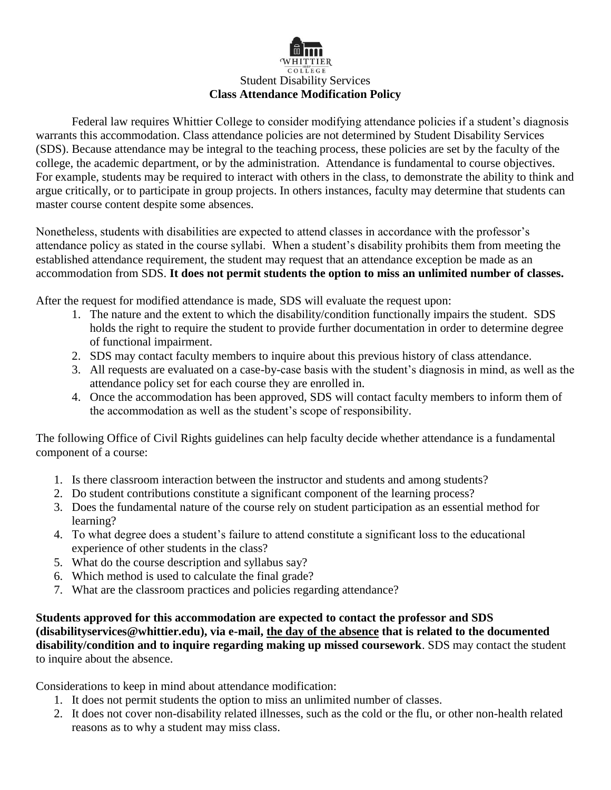

Federal law requires Whittier College to consider modifying attendance policies if a student's diagnosis warrants this accommodation. Class attendance policies are not determined by Student Disability Services (SDS). Because attendance may be integral to the teaching process, these policies are set by the faculty of the college, the academic department, or by the administration. Attendance is fundamental to course objectives. For example, students may be required to interact with others in the class, to demonstrate the ability to think and argue critically, or to participate in group projects. In others instances, faculty may determine that students can master course content despite some absences.

Nonetheless, students with disabilities are expected to attend classes in accordance with the professor's attendance policy as stated in the course syllabi. When a student's disability prohibits them from meeting the established attendance requirement, the student may request that an attendance exception be made as an accommodation from SDS. **It does not permit students the option to miss an unlimited number of classes.**

After the request for modified attendance is made, SDS will evaluate the request upon:

- 1. The nature and the extent to which the disability/condition functionally impairs the student. SDS holds the right to require the student to provide further documentation in order to determine degree of functional impairment.
- 2. SDS may contact faculty members to inquire about this previous history of class attendance.
- 3. All requests are evaluated on a case-by-case basis with the student's diagnosis in mind, as well as the attendance policy set for each course they are enrolled in.
- 4. Once the accommodation has been approved, SDS will contact faculty members to inform them of the accommodation as well as the student's scope of responsibility.

The following Office of Civil Rights guidelines can help faculty decide whether attendance is a fundamental component of a course:

- 1. Is there classroom interaction between the instructor and students and among students?
- 2. Do student contributions constitute a significant component of the learning process?
- 3. Does the fundamental nature of the course rely on student participation as an essential method for learning?
- 4. To what degree does a student's failure to attend constitute a significant loss to the educational experience of other students in the class?
- 5. What do the course description and syllabus say?
- 6. Which method is used to calculate the final grade?
- 7. What are the classroom practices and policies regarding attendance?

**Students approved for this accommodation are expected to contact the professor and SDS (disabilityservices@whittier.edu), via e-mail, the day of the absence that is related to the documented disability/condition and to inquire regarding making up missed coursework**. SDS may contact the student to inquire about the absence.

Considerations to keep in mind about attendance modification:

- 1. It does not permit students the option to miss an unlimited number of classes.
- 2. It does not cover non-disability related illnesses, such as the cold or the flu, or other non-health related reasons as to why a student may miss class.